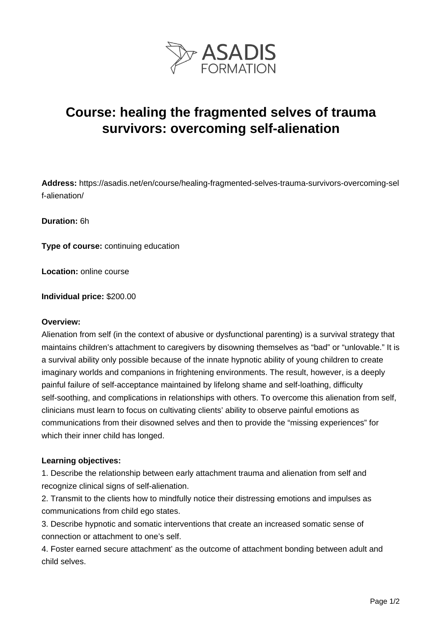

# **Course: healing the fragmented selves of trauma survivors: overcoming self-alienation**

**Address:** https://asadis.net/en/course/healing-fragmented-selves-trauma-survivors-overcoming-sel f-alienation/

**Duration:** 6h

**Type of course:** continuing education

**Location:** online course

**Individual price:** \$200.00

#### **Overview:**

Alienation from self (in the context of abusive or dysfunctional parenting) is a survival strategy that maintains children's attachment to caregivers by disowning themselves as "bad" or "unlovable." It is a survival ability only possible because of the innate hypnotic ability of young children to create imaginary worlds and companions in frightening environments. The result, however, is a deeply painful failure of self-acceptance maintained by lifelong shame and self-loathing, difficulty self-soothing, and complications in relationships with others. To overcome this alienation from self, clinicians must learn to focus on cultivating clients' ability to observe painful emotions as communications from their disowned selves and then to provide the "missing experiences" for which their inner child has longed.

### **Learning objectives:**

1. Describe the relationship between early attachment trauma and alienation from self and recognize clinical signs of self-alienation.

2. Transmit to the clients how to mindfully notice their distressing emotions and impulses as communications from child ego states.

3. Describe hypnotic and somatic interventions that create an increased somatic sense of connection or attachment to one's self.

4. Foster earned secure attachment' as the outcome of attachment bonding between adult and child selves.